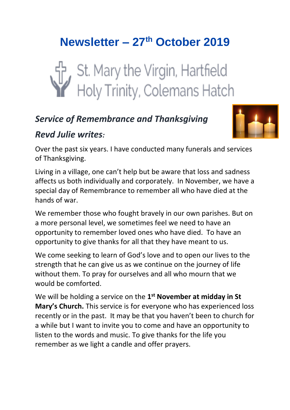# **Newsletter – 27th October 2019**



### *Service of Remembrance and Thanksgiving*



### *Revd Julie writes:*

Over the past six years. I have conducted many funerals and services of Thanksgiving.

Living in a village, one can't help but be aware that loss and sadness affects us both individually and corporately. In November, we have a special day of Remembrance to remember all who have died at the hands of war.

We remember those who fought bravely in our own parishes. But on a more personal level, we sometimes feel we need to have an opportunity to remember loved ones who have died. To have an opportunity to give thanks for all that they have meant to us.

We come seeking to learn of God's love and to open our lives to the strength that he can give us as we continue on the journey of life without them. To pray for ourselves and all who mourn that we would be comforted.

We will be holding a service on the 1<sup>st</sup> November at midday in St **Mary's Church.** This service is for everyone who has experienced loss recently or in the past. It may be that you haven't been to church for a while but I want to invite you to come and have an opportunity to listen to the words and music. To give thanks for the life you remember as we light a candle and offer prayers.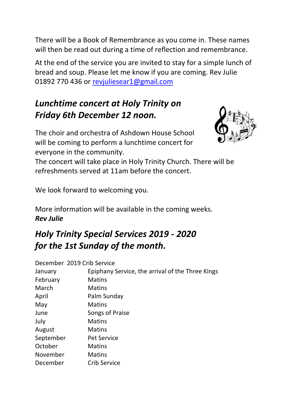There will be a Book of Remembrance as you come in. These names will then be read out during a time of reflection and remembrance.

At the end of the service you are invited to stay for a simple lunch of bread and soup. Please let me know if you are coming. Rev Julie 01892 770 436 or [revjuliesear1@gmail.com](mailto:revjuliesear1@gmail.com)

# *Lunchtime concert at Holy Trinity on Friday 6th December 12 noon.*

The choir and orchestra of Ashdown House School will be coming to perform a lunchtime concert for everyone in the community.



The concert will take place in Holy Trinity Church. There will be refreshments served at 11am before the concert.

We look forward to welcoming you.

More information will be available in the coming weeks. *Rev Julie*

# *Holy Trinity Special Services 2019 - 2020 for the 1st Sunday of the month.*

| December 2019 Crib Service |                                                  |
|----------------------------|--------------------------------------------------|
| January                    | Epiphany Service, the arrival of the Three Kings |
| February                   | <b>Matins</b>                                    |
| March                      | <b>Matins</b>                                    |
| April                      | Palm Sunday                                      |
| May                        | <b>Matins</b>                                    |
| June                       | Songs of Praise                                  |
| July                       | <b>Matins</b>                                    |
| August                     | <b>Matins</b>                                    |
| September                  | <b>Pet Service</b>                               |
| October                    | <b>Matins</b>                                    |
| November                   | <b>Matins</b>                                    |
| December                   | Crib Service                                     |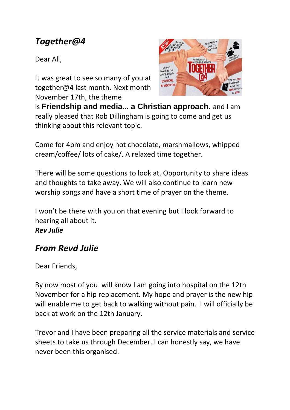### *Together@4*

Dear All,

It was great to see so many of you at together@4 last month. Next month November 17th, the theme



is **Friendship and media... a Christian approach.** and I am really pleased that Rob Dillingham is going to come and get us thinking about this relevant topic.

Come for 4pm and enjoy hot chocolate, marshmallows, whipped cream/coffee/ lots of cake/. A relaxed time together.

There will be some questions to look at. Opportunity to share ideas and thoughts to take away. We will also continue to learn new worship songs and have a short time of prayer on the theme.

I won't be there with you on that evening but I look forward to hearing all about it.

#### *Rev Julie*

### *From Revd Julie*

Dear Friends,

By now most of you will know I am going into hospital on the 12th November for a hip replacement. My hope and prayer is the new hip will enable me to get back to walking without pain. I will officially be back at work on the 12th January.

Trevor and I have been preparing all the service materials and service sheets to take us through December. I can honestly say, we have never been this organised.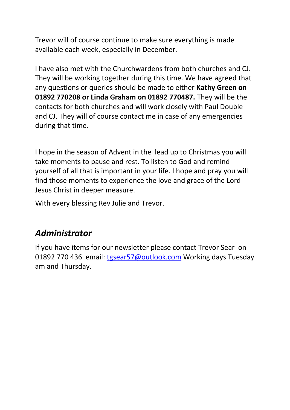Trevor will of course continue to make sure everything is made available each week, especially in December.

I have also met with the Churchwardens from both churches and CJ. They will be working together during this time. We have agreed that any questions or queries should be made to either **Kathy Green on 01892 770208 or Linda Graham on 01892 770487.** They will be the contacts for both churches and will work closely with Paul Double and CJ. They will of course contact me in case of any emergencies during that time.

I hope in the season of Advent in the lead up to Christmas you will take moments to pause and rest. To listen to God and remind yourself of all that is important in your life. I hope and pray you will find those moments to experience the love and grace of the Lord Jesus Christ in deeper measure.

With every blessing Rev Julie and Trevor.

### *Administrator*

If you have items for our newsletter please contact Trevor Sear on 01892 770 436 email: [tgsear57@outlook.com](mailto:tgsear57@outlook.com) Working days Tuesday am and Thursday.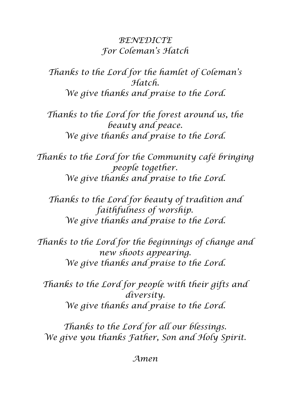### *BENEDICTE For Coleman's Hatch*

*Thanks to the Lord for the hamlet of Coleman's Hatch. We give thanks and praise to the Lord.*

*Thanks to the Lord for the forest around us, the beauty and peace. We give thanks and praise to the Lord.*

*Thanks to the Lord for the Community café bringing people together. We give thanks and praise to the Lord.*

*Thanks to the Lord for beauty of tradition and faithfulness of worship. We give thanks and praise to the Lord.*

*Thanks to the Lord for the beginnings of change and new shoots appearing. We give thanks and praise to the Lord.*

*Thanks to the Lord for people with their gifts and diversity. We give thanks and praise to the Lord.*

*Thanks to the Lord for all our blessings. We give you thanks Father, Son and Holy Spirit.* 

*Amen*